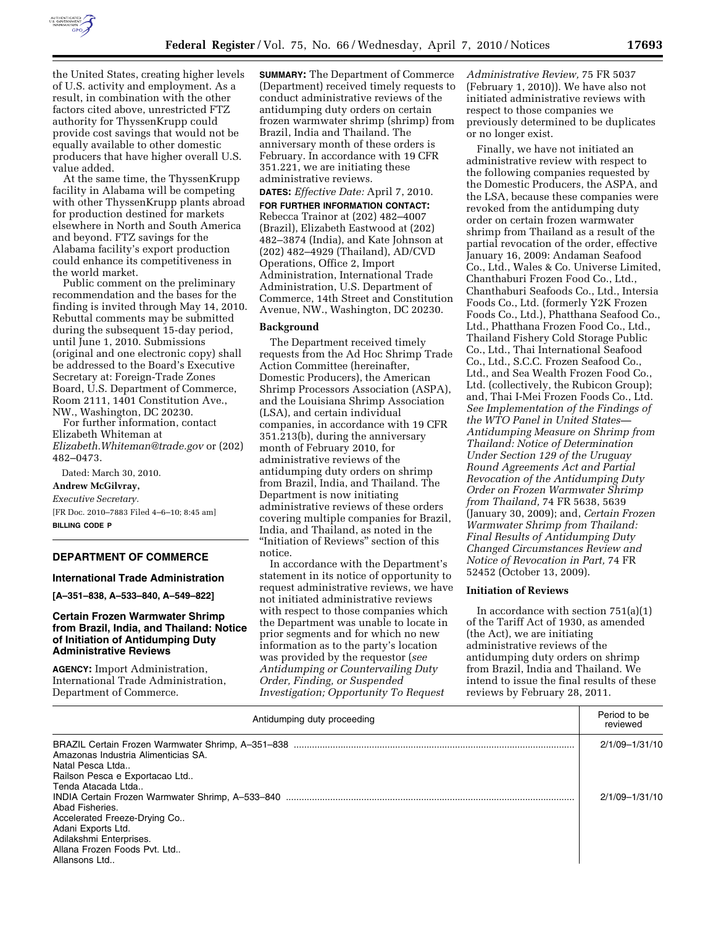

the United States, creating higher levels of U.S. activity and employment. As a result, in combination with the other factors cited above, unrestricted FTZ authority for ThyssenKrupp could provide cost savings that would not be equally available to other domestic producers that have higher overall U.S. value added.

At the same time, the ThyssenKrupp facility in Alabama will be competing with other ThyssenKrupp plants abroad for production destined for markets elsewhere in North and South America and beyond. FTZ savings for the Alabama facility's export production could enhance its competitiveness in the world market.

Public comment on the preliminary recommendation and the bases for the finding is invited through May 14, 2010. Rebuttal comments may be submitted during the subsequent 15-day period, until June 1, 2010. Submissions (original and one electronic copy) shall be addressed to the Board's Executive Secretary at: Foreign-Trade Zones Board, U.S. Department of Commerce, Room 2111, 1401 Constitution Ave., NW., Washington, DC 20230.

For further information, contact Elizabeth Whiteman at *Elizabeth.Whiteman@trade.gov* or (202) 482–0473.

Dated: March 30, 2010.

### **Andrew McGilvray,**

*Executive Secretary.*  [FR Doc. 2010–7883 Filed 4–6–10; 8:45 am] **BILLING CODE P** 

### **DEPARTMENT OF COMMERCE**

### **International Trade Administration**

**[A–351–838, A–533–840, A–549–822]** 

### **Certain Frozen Warmwater Shrimp from Brazil, India, and Thailand: Notice of Initiation of Antidumping Duty Administrative Reviews**

**AGENCY:** Import Administration, International Trade Administration, Department of Commerce.

**SUMMARY:** The Department of Commerce (Department) received timely requests to conduct administrative reviews of the antidumping duty orders on certain frozen warmwater shrimp (shrimp) from Brazil, India and Thailand. The anniversary month of these orders is February. In accordance with 19 CFR 351.221, we are initiating these administrative reviews.

# **DATES:** *Effective Date:* April 7, 2010.

**FOR FURTHER INFORMATION CONTACT:**  Rebecca Trainor at (202) 482–4007 (Brazil), Elizabeth Eastwood at (202) 482–3874 (India), and Kate Johnson at (202) 482–4929 (Thailand), AD/CVD Operations, Office 2, Import Administration, International Trade Administration, U.S. Department of Commerce, 14th Street and Constitution Avenue, NW., Washington, DC 20230.

### **Background**

The Department received timely requests from the Ad Hoc Shrimp Trade Action Committee (hereinafter, Domestic Producers), the American Shrimp Processors Association (ASPA), and the Louisiana Shrimp Association (LSA), and certain individual companies, in accordance with 19 CFR 351.213(b), during the anniversary month of February 2010, for administrative reviews of the antidumping duty orders on shrimp from Brazil, India, and Thailand. The Department is now initiating administrative reviews of these orders covering multiple companies for Brazil, India, and Thailand, as noted in the ''Initiation of Reviews'' section of this notice.

In accordance with the Department's statement in its notice of opportunity to request administrative reviews, we have not initiated administrative reviews with respect to those companies which the Department was unable to locate in prior segments and for which no new information as to the party's location was provided by the requestor (*see Antidumping or Countervailing Duty Order, Finding, or Suspended Investigation; Opportunity To Request* 

*Administrative Review,* 75 FR 5037 (February 1, 2010)). We have also not initiated administrative reviews with respect to those companies we previously determined to be duplicates or no longer exist.

Finally, we have not initiated an administrative review with respect to the following companies requested by the Domestic Producers, the ASPA, and the LSA, because these companies were revoked from the antidumping duty order on certain frozen warmwater shrimp from Thailand as a result of the partial revocation of the order, effective January 16, 2009: Andaman Seafood Co., Ltd., Wales & Co. Universe Limited, Chanthaburi Frozen Food Co., Ltd., Chanthaburi Seafoods Co., Ltd., Intersia Foods Co., Ltd. (formerly Y2K Frozen Foods Co., Ltd.), Phatthana Seafood Co., Ltd., Phatthana Frozen Food Co., Ltd., Thailand Fishery Cold Storage Public Co., Ltd., Thai International Seafood Co., Ltd., S.C.C. Frozen Seafood Co., Ltd., and Sea Wealth Frozen Food Co., Ltd. (collectively, the Rubicon Group); and, Thai I-Mei Frozen Foods Co., Ltd. *See Implementation of the Findings of the WTO Panel in United States— Antidumping Measure on Shrimp from Thailand: Notice of Determination Under Section 129 of the Uruguay Round Agreements Act and Partial Revocation of the Antidumping Duty Order on Frozen Warmwater Shrimp from Thailand,* 74 FR 5638, 5639 (January 30, 2009); and, *Certain Frozen Warmwater Shrimp from Thailand: Final Results of Antidumping Duty Changed Circumstances Review and Notice of Revocation in Part,* 74 FR 52452 (October 13, 2009).

## **Initiation of Reviews**

In accordance with section  $751(a)(1)$ of the Tariff Act of 1930, as amended (the Act), we are initiating administrative reviews of the antidumping duty orders on shrimp from Brazil, India and Thailand. We intend to issue the final results of these reviews by February 28, 2011.

| Antidumping duty proceeding         | Period to be<br>reviewed |
|-------------------------------------|--------------------------|
|                                     | $2/1/09 - 1/31/10$       |
| Amazonas Industria Alimenticias SA. |                          |
| Natal Pesca Ltda                    |                          |
| Railson Pesca e Exportacao Ltd      |                          |
| Tenda Atacada Ltda                  |                          |
|                                     | 2/1/09-1/31/10           |
| Abad Fisheries.                     |                          |
| Accelerated Freeze-Drying Co        |                          |
| Adani Exports Ltd.                  |                          |
| Adilakshmi Enterprises.             |                          |
| Allana Frozen Foods Pvt. Ltd        |                          |
| Allansons Ltd                       |                          |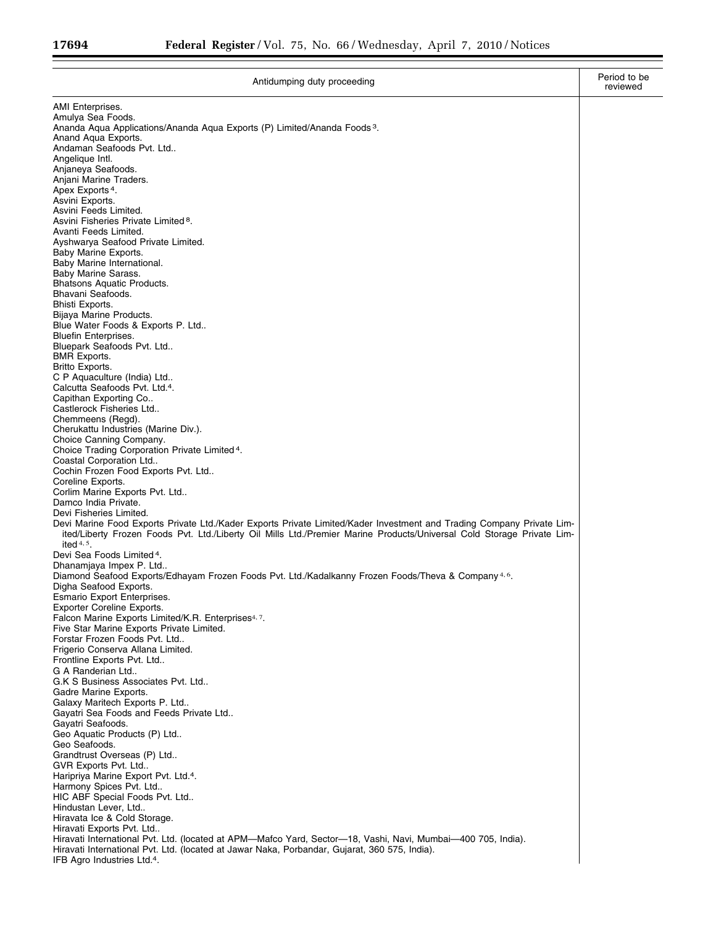| Antidumping duty proceeding                                                                                                                      | Period to be<br>reviewed |
|--------------------------------------------------------------------------------------------------------------------------------------------------|--------------------------|
| AMI Enterprises.                                                                                                                                 |                          |
| Amulya Sea Foods.                                                                                                                                |                          |
| Ananda Aqua Applications/Ananda Aqua Exports (P) Limited/Ananda Foods <sup>3</sup> .<br>Anand Agua Exports.                                      |                          |
| Andaman Seafoods Pvt. Ltd                                                                                                                        |                          |
| Angelique Intl.                                                                                                                                  |                          |
| Anjaneya Seafoods.                                                                                                                               |                          |
| Anjani Marine Traders.                                                                                                                           |                          |
| Apex Exports <sup>4</sup> .                                                                                                                      |                          |
| Asvini Exports.<br>Asvini Feeds Limited.                                                                                                         |                          |
| Asvini Fisheries Private Limited <sup>8</sup> .                                                                                                  |                          |
| Avanti Feeds Limited.                                                                                                                            |                          |
| Ayshwarya Seafood Private Limited.                                                                                                               |                          |
| Baby Marine Exports.                                                                                                                             |                          |
| Baby Marine International.                                                                                                                       |                          |
| Baby Marine Sarass.<br>Bhatsons Aquatic Products.                                                                                                |                          |
| Bhavani Seafoods.                                                                                                                                |                          |
| Bhisti Exports.                                                                                                                                  |                          |
| Bijaya Marine Products.                                                                                                                          |                          |
| Blue Water Foods & Exports P. Ltd                                                                                                                |                          |
| <b>Bluefin Enterprises.</b>                                                                                                                      |                          |
| Bluepark Seafoods Pvt. Ltd<br><b>BMR Exports.</b>                                                                                                |                          |
| Britto Exports.                                                                                                                                  |                          |
| C P Aquaculture (India) Ltd                                                                                                                      |                          |
| Calcutta Seafoods Pvt. Ltd. <sup>4</sup> .                                                                                                       |                          |
| Capithan Exporting Co                                                                                                                            |                          |
| Castlerock Fisheries Ltd                                                                                                                         |                          |
| Chemmeens (Regd).                                                                                                                                |                          |
| Cherukattu Industries (Marine Div.).<br>Choice Canning Company.                                                                                  |                          |
| Choice Trading Corporation Private Limited 4.                                                                                                    |                          |
| Coastal Corporation Ltd                                                                                                                          |                          |
| Cochin Frozen Food Exports Pvt. Ltd                                                                                                              |                          |
| Coreline Exports.                                                                                                                                |                          |
| Corlim Marine Exports Pvt. Ltd                                                                                                                   |                          |
| Damco India Private.                                                                                                                             |                          |
| Devi Fisheries Limited.<br>Devi Marine Food Exports Private Ltd./Kader Exports Private Limited/Kader Investment and Trading Company Private Lim- |                          |
| ited/Liberty Frozen Foods Pvt. Ltd./Liberty Oil Mills Ltd./Premier Marine Products/Universal Cold Storage Private Lim-                           |                          |
| ited $4, 5$ .                                                                                                                                    |                          |
| Devi Sea Foods Limited <sup>4</sup> .                                                                                                            |                          |
| Dhanamjaya Impex P. Ltd                                                                                                                          |                          |
| Diamond Seafood Exports/Edhayam Frozen Foods Pvt. Ltd./Kadalkanny Frozen Foods/Theva & Company <sup>4,6</sup> .<br>Digha Seafood Exports.        |                          |
| Esmario Export Enterprises.                                                                                                                      |                          |
| Exporter Coreline Exports.                                                                                                                       |                          |
| Falcon Marine Exports Limited/K.R. Enterprises <sup>4, 7</sup> .                                                                                 |                          |
| Five Star Marine Exports Private Limited.                                                                                                        |                          |
| Forstar Frozen Foods Pvt. Ltd                                                                                                                    |                          |
| Frigerio Conserva Allana Limited.                                                                                                                |                          |
| Frontline Exports Pvt. Ltd<br>G A Randerian Ltd                                                                                                  |                          |
| G.K S Business Associates Pvt. Ltd                                                                                                               |                          |
| Gadre Marine Exports.                                                                                                                            |                          |
| Galaxy Maritech Exports P. Ltd                                                                                                                   |                          |
| Gayatri Sea Foods and Feeds Private Ltd                                                                                                          |                          |
| Gayatri Seafoods.                                                                                                                                |                          |
| Geo Aquatic Products (P) Ltd<br>Geo Seafoods.                                                                                                    |                          |
| Grandtrust Overseas (P) Ltd                                                                                                                      |                          |
| GVR Exports Pvt. Ltd                                                                                                                             |                          |
| Haripriya Marine Export Pvt. Ltd. <sup>4</sup> .                                                                                                 |                          |
| Harmony Spices Pvt. Ltd                                                                                                                          |                          |
| HIC ABF Special Foods Pvt. Ltd                                                                                                                   |                          |
| Hindustan Lever, Ltd                                                                                                                             |                          |
| Hiravata Ice & Cold Storage.<br>Hiravati Exports Pvt. Ltd                                                                                        |                          |
| Hiravati International Pvt. Ltd. (located at APM—Mafco Yard, Sector—18, Vashi, Navi, Mumbai—400 705, India).                                     |                          |
| Hiravati International Pvt. Ltd. (located at Jawar Naka, Porbandar, Gujarat, 360 575, India).                                                    |                          |
| IFB Agro Industries Ltd. <sup>4</sup> .                                                                                                          |                          |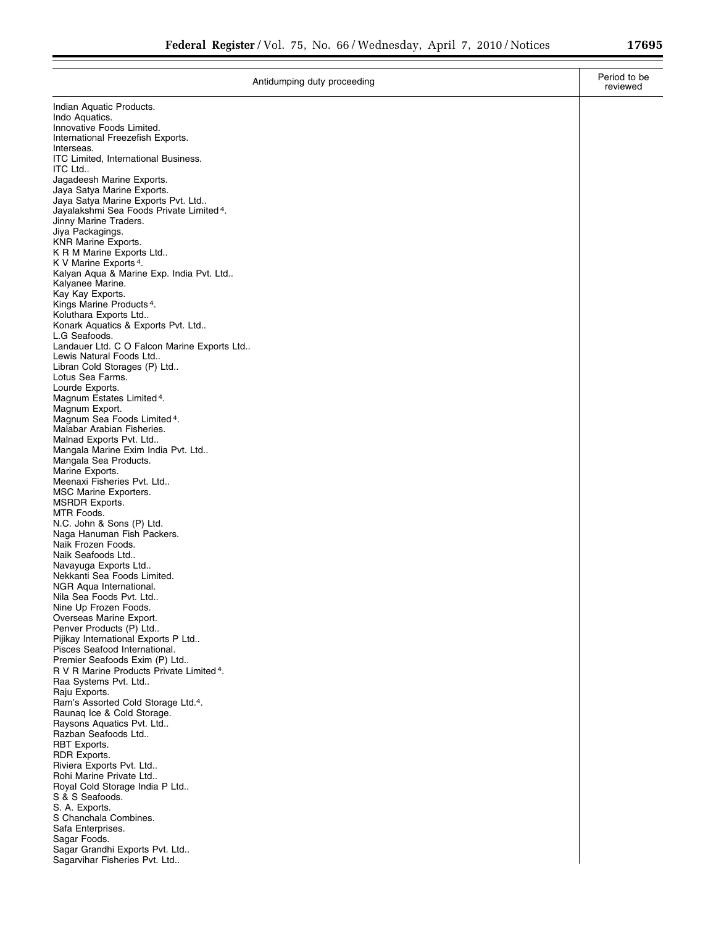Ξ

| Antidumping duty proceeding                                                                | Period to be<br>reviewed |
|--------------------------------------------------------------------------------------------|--------------------------|
| Indian Aquatic Products.                                                                   |                          |
| Indo Aquatics.                                                                             |                          |
| Innovative Foods Limited.<br>International Freezefish Exports.                             |                          |
| Interseas.                                                                                 |                          |
| <b>ITC Limited, International Business.</b>                                                |                          |
| ITC Ltd                                                                                    |                          |
| Jagadeesh Marine Exports.                                                                  |                          |
| Jaya Satya Marine Exports.                                                                 |                          |
| Jaya Satya Marine Exports Pvt. Ltd<br>Jayalakshmi Sea Foods Private Limited <sup>4</sup> . |                          |
| Jinny Marine Traders.                                                                      |                          |
| Jiya Packagings.                                                                           |                          |
| <b>KNR Marine Exports.</b>                                                                 |                          |
| K R M Marine Exports Ltd                                                                   |                          |
| K V Marine Exports <sup>4</sup> .                                                          |                          |
| Kalyan Aqua & Marine Exp. India Pvt. Ltd<br>Kalyanee Marine.                               |                          |
| Kay Kay Exports.                                                                           |                          |
| Kings Marine Products <sup>4</sup> .                                                       |                          |
| Koluthara Exports Ltd                                                                      |                          |
| Konark Aquatics & Exports Pvt. Ltd                                                         |                          |
| L.G Seafoods.<br>Landauer Ltd. C O Falcon Marine Exports Ltd                               |                          |
| Lewis Natural Foods Ltd                                                                    |                          |
| Libran Cold Storages (P) Ltd                                                               |                          |
| Lotus Sea Farms.                                                                           |                          |
| Lourde Exports.                                                                            |                          |
| Magnum Estates Limited <sup>4</sup> .                                                      |                          |
| Magnum Export.                                                                             |                          |
| Magnum Sea Foods Limited <sup>4</sup> .<br>Malabar Arabian Fisheries.                      |                          |
| Malnad Exports Pvt. Ltd                                                                    |                          |
| Mangala Marine Exim India Pvt. Ltd                                                         |                          |
| Mangala Sea Products.                                                                      |                          |
| Marine Exports.                                                                            |                          |
| Meenaxi Fisheries Pvt. Ltd                                                                 |                          |
| <b>MSC Marine Exporters.</b><br><b>MSRDR Exports.</b>                                      |                          |
| MTR Foods.                                                                                 |                          |
| N.C. John & Sons (P) Ltd.                                                                  |                          |
| Naga Hanuman Fish Packers.                                                                 |                          |
| Naik Frozen Foods.                                                                         |                          |
| Naik Seafoods Ltd                                                                          |                          |
| Navayuga Exports Ltd<br>Nekkanti Sea Foods Limited.                                        |                          |
| NGR Aqua International.                                                                    |                          |
| Nila Sea Foods Pvt. Ltd                                                                    |                          |
| Nine Up Frozen Foods.                                                                      |                          |
| Overseas Marine Export.                                                                    |                          |
| Penver Products (P) Ltd                                                                    |                          |
| Pijikay International Exports P Ltd<br>Pisces Seafood International.                       |                          |
| Premier Seafoods Exim (P) Ltd                                                              |                          |
| R V R Marine Products Private Limited <sup>4</sup> .                                       |                          |
| Raa Systems Pvt. Ltd                                                                       |                          |
| Raju Exports.                                                                              |                          |
| Ram's Assorted Cold Storage Ltd.4.                                                         |                          |
| Raunag Ice & Cold Storage.<br>Raysons Aquatics Pvt. Ltd                                    |                          |
| Razban Seafoods Ltd                                                                        |                          |
| RBT Exports.                                                                               |                          |
| RDR Exports.                                                                               |                          |
| Riviera Exports Pvt. Ltd                                                                   |                          |
| Rohi Marine Private Ltd                                                                    |                          |
| Royal Cold Storage India P Ltd<br>S & S Seafoods.                                          |                          |
| S. A. Exports.                                                                             |                          |
| S Chanchala Combines.                                                                      |                          |
| Safa Enterprises.                                                                          |                          |
| Sagar Foods.                                                                               |                          |
| Sagar Grandhi Exports Pvt. Ltd                                                             |                          |
| Sagarvihar Fisheries Pvt. Ltd                                                              |                          |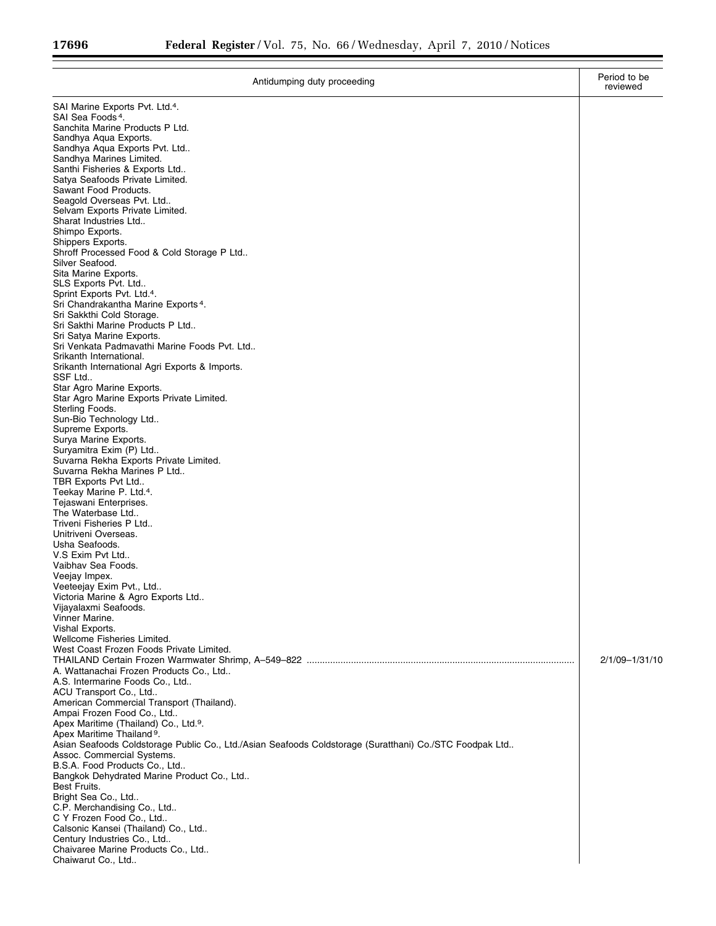| Antidumping duty proceeding                                                                             | Period to be<br>reviewed |
|---------------------------------------------------------------------------------------------------------|--------------------------|
| SAI Marine Exports Pvt. Ltd. <sup>4</sup> .                                                             |                          |
| SAI Sea Foods <sup>4</sup> .                                                                            |                          |
| Sanchita Marine Products P Ltd.<br>Sandhya Aqua Exports.                                                |                          |
| Sandhya Aqua Exports Pvt. Ltd                                                                           |                          |
| Sandhya Marines Limited.<br>Santhi Fisheries & Exports Ltd                                              |                          |
| Satya Seafoods Private Limited.                                                                         |                          |
| Sawant Food Products.                                                                                   |                          |
| Seagold Overseas Pvt. Ltd<br>Selvam Exports Private Limited.                                            |                          |
| Sharat Industries Ltd                                                                                   |                          |
| Shimpo Exports.                                                                                         |                          |
| Shippers Exports.<br>Shroff Processed Food & Cold Storage P Ltd                                         |                          |
| Silver Seafood.                                                                                         |                          |
| Sita Marine Exports.                                                                                    |                          |
| SLS Exports Pvt. Ltd<br>Sprint Exports Pvt. Ltd.4.                                                      |                          |
| Sri Chandrakantha Marine Exports <sup>4</sup> .                                                         |                          |
| Sri Sakkthi Cold Storage.<br>Sri Sakthi Marine Products P Ltd                                           |                          |
| Sri Satya Marine Exports.                                                                               |                          |
| Sri Venkata Padmavathi Marine Foods Pvt. Ltd                                                            |                          |
| Srikanth International.<br>Srikanth International Agri Exports & Imports.                               |                          |
| SSF Ltd                                                                                                 |                          |
| Star Agro Marine Exports.                                                                               |                          |
| Star Agro Marine Exports Private Limited.<br>Sterling Foods.                                            |                          |
| Sun-Bio Technology Ltd                                                                                  |                          |
| Supreme Exports.                                                                                        |                          |
| Surya Marine Exports.<br>Suryamitra Exim (P) Ltd                                                        |                          |
| Suvarna Rekha Exports Private Limited.                                                                  |                          |
| Suvarna Rekha Marines P Ltd                                                                             |                          |
| TBR Exports Pvt Ltd<br>Teekay Marine P. Ltd. <sup>4</sup> .                                             |                          |
| Tejaswani Enterprises.                                                                                  |                          |
| The Waterbase Ltd<br>Triveni Fisheries P Ltd                                                            |                          |
| Unitriveni Overseas.                                                                                    |                          |
| Usha Seafoods.                                                                                          |                          |
| V.S Exim Pvt Ltd<br>Vaibhav Sea Foods.                                                                  |                          |
| Veejay Impex.                                                                                           |                          |
| Veeteejay Exim Pvt., Ltd                                                                                |                          |
| Victoria Marine & Agro Exports Ltd<br>Vijayalaxmi Seafoods.                                             |                          |
| Vinner Marine.                                                                                          |                          |
| Vishal Exports.                                                                                         |                          |
| Wellcome Fisheries Limited.<br>West Coast Frozen Foods Private Limited.                                 |                          |
|                                                                                                         | 2/1/09-1/31/10           |
| A. Wattanachai Frozen Products Co., Ltd                                                                 |                          |
| A.S. Intermarine Foods Co., Ltd<br>ACU Transport Co., Ltd                                               |                          |
| American Commercial Transport (Thailand).                                                               |                          |
| Ampai Frozen Food Co., Ltd                                                                              |                          |
| Apex Maritime (Thailand) Co., Ltd. <sup>9</sup> .<br>Apex Maritime Thailand <sup>9</sup> .              |                          |
| Asian Seafoods Coldstorage Public Co., Ltd./Asian Seafoods Coldstorage (Suratthani) Co./STC Foodpak Ltd |                          |
| Assoc. Commercial Systems.<br>B.S.A. Food Products Co., Ltd                                             |                          |
| Bangkok Dehydrated Marine Product Co., Ltd                                                              |                          |
| Best Fruits.                                                                                            |                          |
| Bright Sea Co., Ltd<br>C.P. Merchandising Co., Ltd                                                      |                          |
| C Y Frozen Food Co., Ltd                                                                                |                          |
| Calsonic Kansei (Thailand) Co., Ltd                                                                     |                          |
| Century Industries Co., Ltd<br>Chaivaree Marine Products Co., Ltd                                       |                          |
| Chaiwarut Co., Ltd                                                                                      |                          |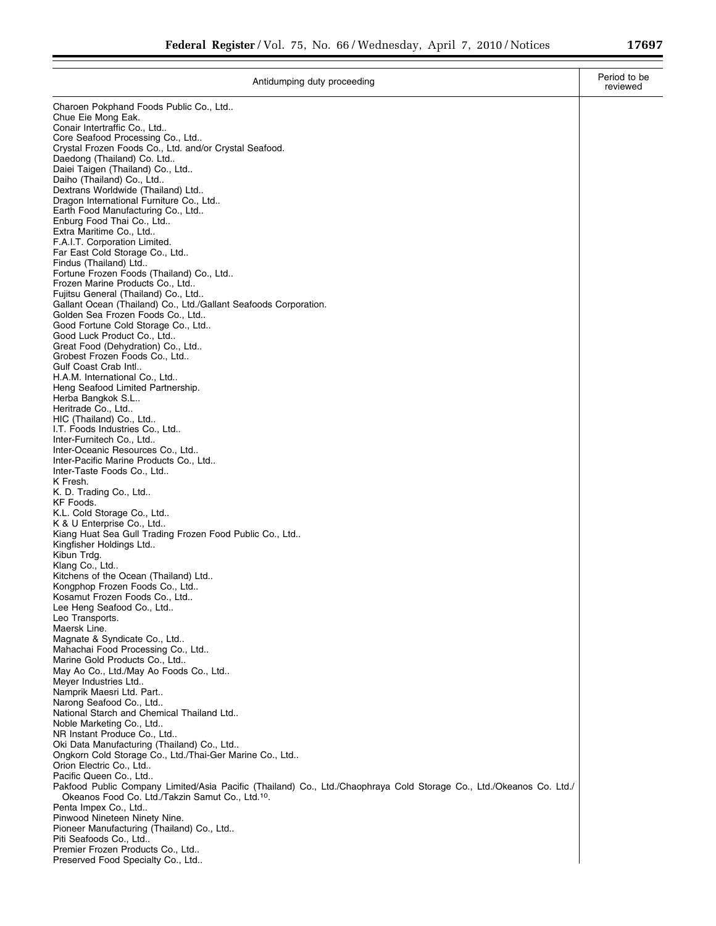| Antidumping duty proceeding                                                                                          | Period to be<br>reviewed |
|----------------------------------------------------------------------------------------------------------------------|--------------------------|
| Charoen Pokphand Foods Public Co., Ltd                                                                               |                          |
| Chue Eie Mong Eak.                                                                                                   |                          |
| Conair Intertraffic Co., Ltd<br>Core Seafood Processing Co., Ltd                                                     |                          |
| Crystal Frozen Foods Co., Ltd. and/or Crystal Seafood.                                                               |                          |
| Daedong (Thailand) Co. Ltd                                                                                           |                          |
| Daiei Taigen (Thailand) Co., Ltd<br>Daiho (Thailand) Co., Ltd                                                        |                          |
| Dextrans Worldwide (Thailand) Ltd                                                                                    |                          |
| Dragon International Furniture Co., Ltd                                                                              |                          |
| Earth Food Manufacturing Co., Ltd                                                                                    |                          |
| Enburg Food Thai Co., Ltd<br>Extra Maritime Co., Ltd                                                                 |                          |
| F.A.I.T. Corporation Limited.                                                                                        |                          |
| Far East Cold Storage Co., Ltd                                                                                       |                          |
| Findus (Thailand) Ltd<br>Fortune Frozen Foods (Thailand) Co., Ltd                                                    |                          |
| Frozen Marine Products Co., Ltd                                                                                      |                          |
| Fujitsu General (Thailand) Co., Ltd                                                                                  |                          |
| Gallant Ocean (Thailand) Co., Ltd./Gallant Seafoods Corporation.                                                     |                          |
| Golden Sea Frozen Foods Co., Ltd<br>Good Fortune Cold Storage Co., Ltd                                               |                          |
| Good Luck Product Co., Ltd                                                                                           |                          |
| Great Food (Dehydration) Co., Ltd                                                                                    |                          |
| Grobest Frozen Foods Co., Ltd                                                                                        |                          |
| Gulf Coast Crab Intl<br>H.A.M. International Co., Ltd                                                                |                          |
| Heng Seafood Limited Partnership.                                                                                    |                          |
| Herba Bangkok S.L                                                                                                    |                          |
| Heritrade Co., Ltd                                                                                                   |                          |
| HIC (Thailand) Co., Ltd<br>I.T. Foods Industries Co., Ltd                                                            |                          |
| Inter-Furnitech Co., Ltd                                                                                             |                          |
| Inter-Oceanic Resources Co., Ltd                                                                                     |                          |
| Inter-Pacific Marine Products Co., Ltd                                                                               |                          |
| Inter-Taste Foods Co., Ltd<br>K Fresh.                                                                               |                          |
| K. D. Trading Co., Ltd                                                                                               |                          |
| KF Foods.                                                                                                            |                          |
| K.L. Cold Storage Co., Ltd<br>K & U Enterprise Co., Ltd                                                              |                          |
| Kiang Huat Sea Gull Trading Frozen Food Public Co., Ltd                                                              |                          |
| Kingfisher Holdings Ltd                                                                                              |                          |
| Kibun Trdg.                                                                                                          |                          |
| Klang Co., Ltd<br>Kitchens of the Ocean (Thailand) Ltd                                                               |                          |
| Kongphop Frozen Foods Co., Ltd                                                                                       |                          |
| Kosamut Frozen Foods Co., Ltd                                                                                        |                          |
| Lee Heng Seafood Co., Ltd                                                                                            |                          |
| Leo Transports.<br>Maersk Line.                                                                                      |                          |
| Magnate & Syndicate Co., Ltd                                                                                         |                          |
| Mahachai Food Processing Co., Ltd                                                                                    |                          |
| Marine Gold Products Co., Ltd                                                                                        |                          |
| May Ao Co., Ltd./May Ao Foods Co., Ltd<br>Meyer Industries Ltd                                                       |                          |
| Namprik Maesri Ltd. Part                                                                                             |                          |
| Narong Seafood Co., Ltd                                                                                              |                          |
| National Starch and Chemical Thailand Ltd<br>Noble Marketing Co., Ltd                                                |                          |
| NR Instant Produce Co., Ltd                                                                                          |                          |
| Oki Data Manufacturing (Thailand) Co., Ltd                                                                           |                          |
| Ongkorn Cold Storage Co., Ltd./Thai-Ger Marine Co., Ltd                                                              |                          |
| Orion Electric Co., Ltd<br>Pacific Queen Co., Ltd                                                                    |                          |
| Pakfood Public Company Limited/Asia Pacific (Thailand) Co., Ltd./Chaophraya Cold Storage Co., Ltd./Okeanos Co. Ltd./ |                          |
| Okeanos Food Co. Ltd./Takzin Samut Co., Ltd. <sup>10</sup> .                                                         |                          |
| Penta Impex Co., Ltd                                                                                                 |                          |
| Pinwood Nineteen Ninety Nine.<br>Pioneer Manufacturing (Thailand) Co., Ltd                                           |                          |
| Piti Seafoods Co., Ltd                                                                                               |                          |
| Premier Frozen Products Co., Ltd                                                                                     |                          |
| Preserved Food Specialty Co., Ltd                                                                                    |                          |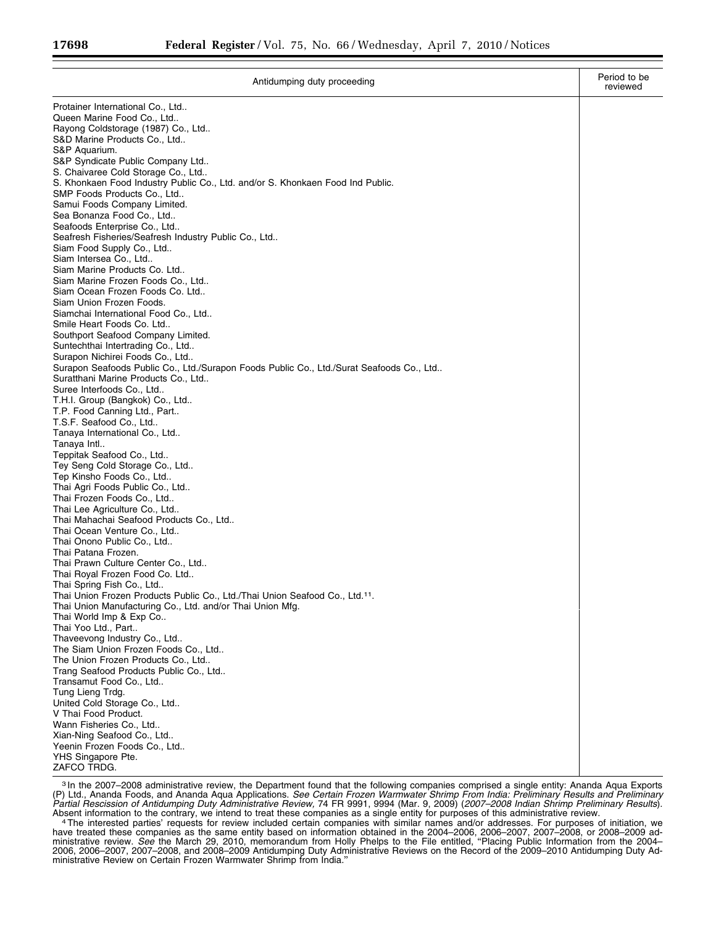| Antidumping duty proceeding                                                              | Period to be<br>reviewed |
|------------------------------------------------------------------------------------------|--------------------------|
| Protainer International Co., Ltd                                                         |                          |
| Queen Marine Food Co., Ltd                                                               |                          |
| Rayong Coldstorage (1987) Co., Ltd                                                       |                          |
| S&D Marine Products Co., Ltd                                                             |                          |
| S&P Aquarium.                                                                            |                          |
| S&P Syndicate Public Company Ltd                                                         |                          |
| S. Chaivaree Cold Storage Co., Ltd                                                       |                          |
| S. Khonkaen Food Industry Public Co., Ltd. and/or S. Khonkaen Food Ind Public.           |                          |
| SMP Foods Products Co., Ltd                                                              |                          |
| Samui Foods Company Limited.<br>Sea Bonanza Food Co., Ltd                                |                          |
| Seafoods Enterprise Co., Ltd                                                             |                          |
| Seafresh Fisheries/Seafresh Industry Public Co., Ltd                                     |                          |
| Siam Food Supply Co., Ltd                                                                |                          |
| Siam Intersea Co., Ltd                                                                   |                          |
| Siam Marine Products Co. Ltd                                                             |                          |
| Siam Marine Frozen Foods Co., Ltd                                                        |                          |
| Siam Ocean Frozen Foods Co. Ltd                                                          |                          |
| Siam Union Frozen Foods.                                                                 |                          |
| Siamchai International Food Co., Ltd                                                     |                          |
| Smile Heart Foods Co. Ltd                                                                |                          |
| Southport Seafood Company Limited.                                                       |                          |
| Suntechthai Intertrading Co., Ltd                                                        |                          |
| Surapon Nichirei Foods Co., Ltd                                                          |                          |
| Surapon Seafoods Public Co., Ltd./Surapon Foods Public Co., Ltd./Surat Seafoods Co., Ltd |                          |
| Suratthani Marine Products Co., Ltd<br>Suree Interfoods Co., Ltd                         |                          |
| T.H.I. Group (Bangkok) Co., Ltd                                                          |                          |
| T.P. Food Canning Ltd., Part                                                             |                          |
| T.S.F. Seafood Co., Ltd                                                                  |                          |
| Tanaya International Co., Ltd                                                            |                          |
| Tanaya Intl                                                                              |                          |
| Teppitak Seafood Co., Ltd                                                                |                          |
| Tey Seng Cold Storage Co., Ltd                                                           |                          |
| Tep Kinsho Foods Co., Ltd                                                                |                          |
| Thai Agri Foods Public Co., Ltd                                                          |                          |
| Thai Frozen Foods Co., Ltd                                                               |                          |
| Thai Lee Agriculture Co., Ltd                                                            |                          |
| Thai Mahachai Seafood Products Co., Ltd                                                  |                          |
| Thai Ocean Venture Co., Ltd<br>Thai Onono Public Co., Ltd                                |                          |
| Thai Patana Frozen.                                                                      |                          |
| Thai Prawn Culture Center Co., Ltd                                                       |                          |
| Thai Royal Frozen Food Co. Ltd                                                           |                          |
| Thai Spring Fish Co., Ltd                                                                |                          |
| Thai Union Frozen Products Public Co., Ltd./Thai Union Seafood Co., Ltd.11.              |                          |
| Thai Union Manufacturing Co., Ltd. and/or Thai Union Mfg.                                |                          |
| Thai World Imp & Exp Co                                                                  |                          |
| Thai Yoo Ltd., Part                                                                      |                          |
| Thaveevong Industry Co., Ltd                                                             |                          |
| The Siam Union Frozen Foods Co., Ltd                                                     |                          |
| The Union Frozen Products Co., Ltd<br>Trang Seafood Products Public Co., Ltd             |                          |
| Transamut Food Co., Ltd                                                                  |                          |
| Tung Lieng Trdg.                                                                         |                          |
| United Cold Storage Co., Ltd                                                             |                          |
| V Thai Food Product.                                                                     |                          |
| Wann Fisheries Co., Ltd                                                                  |                          |
| Xian-Ning Seafood Co., Ltd                                                               |                          |
| Yeenin Frozen Foods Co., Ltd                                                             |                          |
| YHS Singapore Pte.                                                                       |                          |
| ZAFCO TRDG.                                                                              |                          |

3 In the 2007–2008 administrative review, the Department found that the following companies comprised a single entity: Ananda Aqua Exports (P) Ltd., Ananda Foods, and Ananda Aqua Applications. *See Certain Frozen Warmwater Shrimp From India: Preliminary Results and Preliminary*  Partial Rescission of Antidumping Duty Administrative Review, 74 FR 9991, 9994 (Mar. 9, 2009) (2007–2008 Indian Shrimp Preliminary Results).

Absent information to the contrary, we intend to treat these companies as a single entity for purposes of this administrative review.<br>4 The interested parties' requests for review included certain companies with similar na have treated these companies as the same entity based on information obtained in the 2004–2006, 2006–2007, 2007–2008, or 2008–2009 ad-<br>ministrative review. *See* the March 29, 2010, memorandum from Holly Phelps to the File 2006, 2006–2007, 2007–2008, and 2008–2009 Antidumping Duty Administrative Reviews on the Record of the 2009–2010 Antidumping Duty Administrative Review on Certain Frozen Warmwater Shrimp from India.''